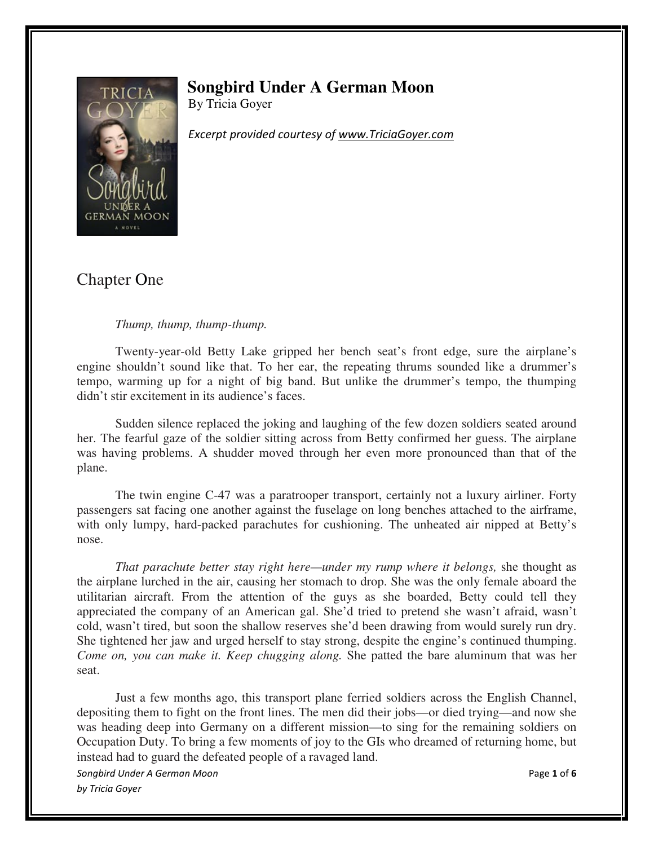## **Songbird Under A German Moon**



By Tricia Goyer

Excerpt provided courtesy of www.TriciaGoyer.com

## Chapter One

## *Thump, thump, thump-thump.*

Twenty-year-old Betty Lake gripped her bench seat's front edge, sure the airplane's engine shouldn't sound like that. To her ear, the repeating thrums sounded like a drummer's tempo, warming up for a night of big band. But unlike the drummer's tempo, the thumping didn't stir excitement in its audience's faces.

Sudden silence replaced the joking and laughing of the few dozen soldiers seated around her. The fearful gaze of the soldier sitting across from Betty confirmed her guess. The airplane was having problems. A shudder moved through her even more pronounced than that of the plane.

The twin engine C-47 was a paratrooper transport, certainly not a luxury airliner. Forty passengers sat facing one another against the fuselage on long benches attached to the airframe, with only lumpy, hard-packed parachutes for cushioning. The unheated air nipped at Betty's nose.

*That parachute better stay right here—under my rump where it belongs, she thought as* the airplane lurched in the air, causing her stomach to drop. She was the only female aboard the utilitarian aircraft. From the attention of the guys as she boarded, Betty could tell they appreciated the company of an American gal. She'd tried to pretend she wasn't afraid, wasn't cold, wasn't tired, but soon the shallow reserves she'd been drawing from would surely run dry. She tightened her jaw and urged herself to stay strong, despite the engine's continued thumping. *Come on, you can make it. Keep chugging along.* She patted the bare aluminum that was her seat.

Just a few months ago, this transport plane ferried soldiers across the English Channel, depositing them to fight on the front lines. The men did their jobs—or died trying—and now she was heading deep into Germany on a different mission—to sing for the remaining soldiers on Occupation Duty. To bring a few moments of joy to the GIs who dreamed of returning home, but instead had to guard the defeated people of a ravaged land.

Songbird Under A German Moon Page 1 of 6 by Tricia Goyer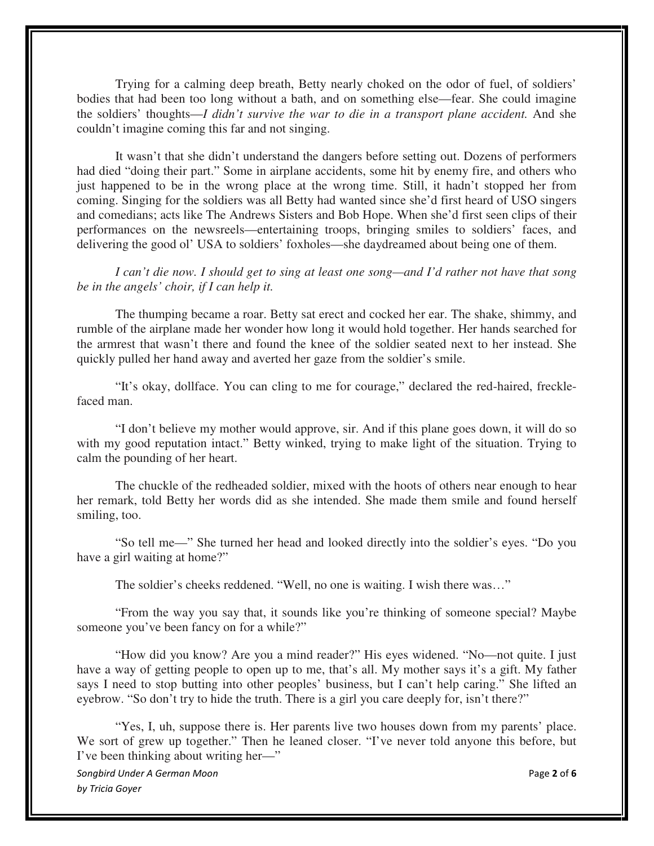Trying for a calming deep breath, Betty nearly choked on the odor of fuel, of soldiers' bodies that had been too long without a bath, and on something else—fear. She could imagine the soldiers' thoughts—*I didn't survive the war to die in a transport plane accident.* And she couldn't imagine coming this far and not singing.

It wasn't that she didn't understand the dangers before setting out. Dozens of performers had died "doing their part." Some in airplane accidents, some hit by enemy fire, and others who just happened to be in the wrong place at the wrong time. Still, it hadn't stopped her from coming. Singing for the soldiers was all Betty had wanted since she'd first heard of USO singers and comedians; acts like The Andrews Sisters and Bob Hope. When she'd first seen clips of their performances on the newsreels—entertaining troops, bringing smiles to soldiers' faces, and delivering the good ol' USA to soldiers' foxholes—she daydreamed about being one of them.

*I can't die now. I should get to sing at least one song—and I'd rather not have that song be in the angels' choir, if I can help it.* 

The thumping became a roar. Betty sat erect and cocked her ear. The shake, shimmy, and rumble of the airplane made her wonder how long it would hold together. Her hands searched for the armrest that wasn't there and found the knee of the soldier seated next to her instead. She quickly pulled her hand away and averted her gaze from the soldier's smile.

"It's okay, dollface. You can cling to me for courage," declared the red-haired, frecklefaced man.

"I don't believe my mother would approve, sir. And if this plane goes down, it will do so with my good reputation intact." Betty winked, trying to make light of the situation. Trying to calm the pounding of her heart.

The chuckle of the redheaded soldier, mixed with the hoots of others near enough to hear her remark, told Betty her words did as she intended. She made them smile and found herself smiling, too.

"So tell me—" She turned her head and looked directly into the soldier's eyes. "Do you have a girl waiting at home?"

The soldier's cheeks reddened. "Well, no one is waiting. I wish there was…"

"From the way you say that, it sounds like you're thinking of someone special? Maybe someone you've been fancy on for a while?"

"How did you know? Are you a mind reader?" His eyes widened. "No—not quite. I just have a way of getting people to open up to me, that's all. My mother says it's a gift. My father says I need to stop butting into other peoples' business, but I can't help caring." She lifted an eyebrow. "So don't try to hide the truth. There is a girl you care deeply for, isn't there?"

"Yes, I, uh, suppose there is. Her parents live two houses down from my parents' place. We sort of grew up together." Then he leaned closer. "I've never told anyone this before, but I've been thinking about writing her—"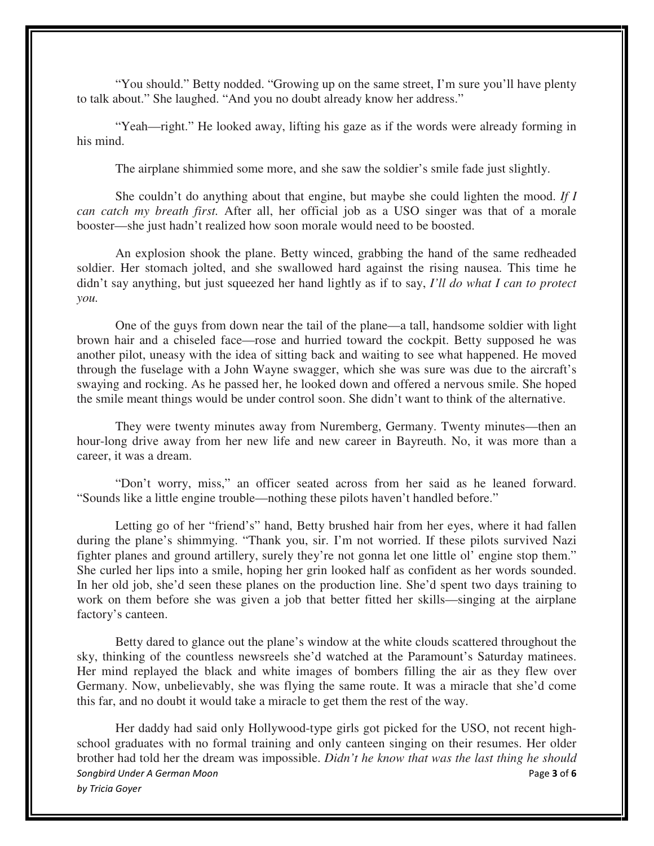"You should." Betty nodded. "Growing up on the same street, I'm sure you'll have plenty to talk about." She laughed. "And you no doubt already know her address."

"Yeah—right." He looked away, lifting his gaze as if the words were already forming in his mind.

The airplane shimmied some more, and she saw the soldier's smile fade just slightly.

She couldn't do anything about that engine, but maybe she could lighten the mood. *If I can catch my breath first.* After all, her official job as a USO singer was that of a morale booster—she just hadn't realized how soon morale would need to be boosted.

An explosion shook the plane. Betty winced, grabbing the hand of the same redheaded soldier. Her stomach jolted, and she swallowed hard against the rising nausea. This time he didn't say anything, but just squeezed her hand lightly as if to say, *I'll do what I can to protect you.* 

One of the guys from down near the tail of the plane—a tall, handsome soldier with light brown hair and a chiseled face—rose and hurried toward the cockpit. Betty supposed he was another pilot, uneasy with the idea of sitting back and waiting to see what happened. He moved through the fuselage with a John Wayne swagger, which she was sure was due to the aircraft's swaying and rocking. As he passed her, he looked down and offered a nervous smile. She hoped the smile meant things would be under control soon. She didn't want to think of the alternative.

They were twenty minutes away from Nuremberg, Germany. Twenty minutes—then an hour-long drive away from her new life and new career in Bayreuth. No, it was more than a career, it was a dream.

"Don't worry, miss," an officer seated across from her said as he leaned forward. "Sounds like a little engine trouble—nothing these pilots haven't handled before."

Letting go of her "friend's" hand, Betty brushed hair from her eyes, where it had fallen during the plane's shimmying. "Thank you, sir. I'm not worried. If these pilots survived Nazi fighter planes and ground artillery, surely they're not gonna let one little ol' engine stop them." She curled her lips into a smile, hoping her grin looked half as confident as her words sounded. In her old job, she'd seen these planes on the production line. She'd spent two days training to work on them before she was given a job that better fitted her skills—singing at the airplane factory's canteen.

Betty dared to glance out the plane's window at the white clouds scattered throughout the sky, thinking of the countless newsreels she'd watched at the Paramount's Saturday matinees. Her mind replayed the black and white images of bombers filling the air as they flew over Germany. Now, unbelievably, she was flying the same route. It was a miracle that she'd come this far, and no doubt it would take a miracle to get them the rest of the way.

Songbird Under A German Moon **Page 3 of 6** Songbird Under A German Moon by Tricia Goyer Her daddy had said only Hollywood-type girls got picked for the USO, not recent highschool graduates with no formal training and only canteen singing on their resumes. Her older brother had told her the dream was impossible. *Didn't he know that was the last thing he should*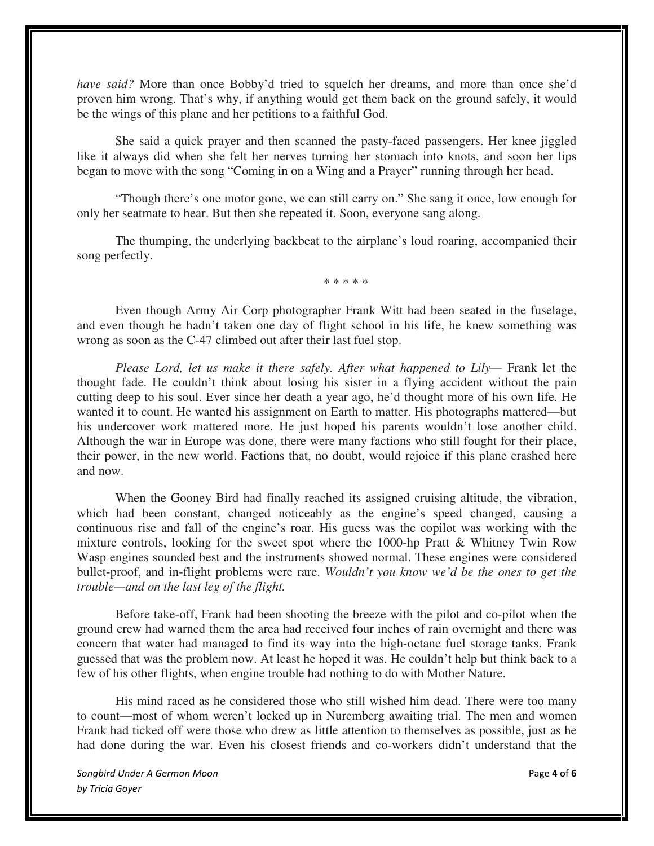*have said?* More than once Bobby'd tried to squelch her dreams, and more than once she'd proven him wrong. That's why, if anything would get them back on the ground safely, it would be the wings of this plane and her petitions to a faithful God.

She said a quick prayer and then scanned the pasty-faced passengers. Her knee jiggled like it always did when she felt her nerves turning her stomach into knots, and soon her lips began to move with the song "Coming in on a Wing and a Prayer" running through her head.

"Though there's one motor gone, we can still carry on." She sang it once, low enough for only her seatmate to hear. But then she repeated it. Soon, everyone sang along.

The thumping, the underlying backbeat to the airplane's loud roaring, accompanied their song perfectly.

\* \* \* \* \*

Even though Army Air Corp photographer Frank Witt had been seated in the fuselage, and even though he hadn't taken one day of flight school in his life, he knew something was wrong as soon as the C-47 climbed out after their last fuel stop.

*Please Lord, let us make it there safely. After what happened to Lily*— Frank let the thought fade. He couldn't think about losing his sister in a flying accident without the pain cutting deep to his soul. Ever since her death a year ago, he'd thought more of his own life. He wanted it to count. He wanted his assignment on Earth to matter. His photographs mattered—but his undercover work mattered more. He just hoped his parents wouldn't lose another child. Although the war in Europe was done, there were many factions who still fought for their place, their power, in the new world. Factions that, no doubt, would rejoice if this plane crashed here and now.

When the Gooney Bird had finally reached its assigned cruising altitude, the vibration, which had been constant, changed noticeably as the engine's speed changed, causing a continuous rise and fall of the engine's roar. His guess was the copilot was working with the mixture controls, looking for the sweet spot where the 1000-hp Pratt & Whitney Twin Row Wasp engines sounded best and the instruments showed normal. These engines were considered bullet-proof, and in-flight problems were rare. *Wouldn't you know we'd be the ones to get the trouble—and on the last leg of the flight.* 

Before take-off, Frank had been shooting the breeze with the pilot and co-pilot when the ground crew had warned them the area had received four inches of rain overnight and there was concern that water had managed to find its way into the high-octane fuel storage tanks. Frank guessed that was the problem now. At least he hoped it was. He couldn't help but think back to a few of his other flights, when engine trouble had nothing to do with Mother Nature.

His mind raced as he considered those who still wished him dead. There were too many to count—most of whom weren't locked up in Nuremberg awaiting trial. The men and women Frank had ticked off were those who drew as little attention to themselves as possible, just as he had done during the war. Even his closest friends and co-workers didn't understand that the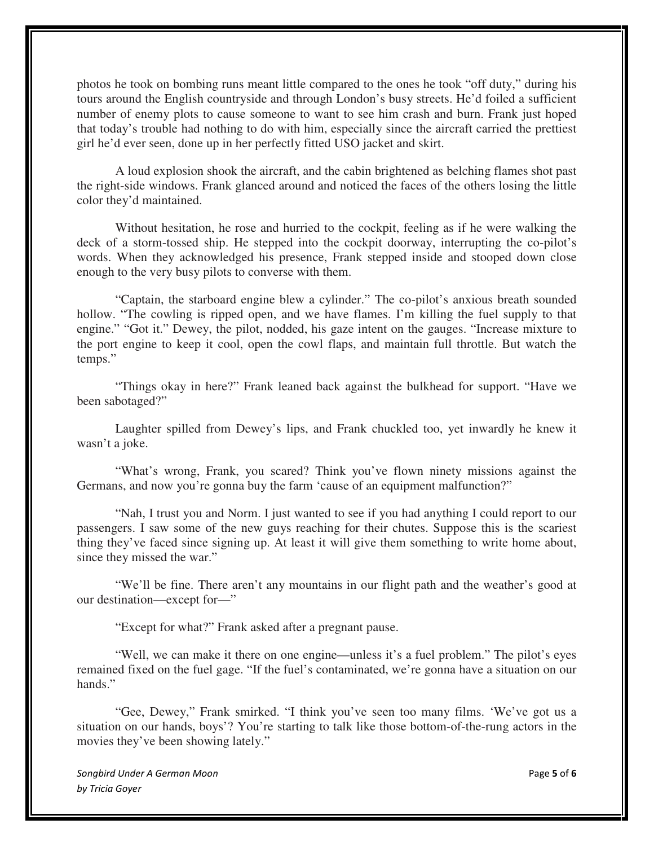photos he took on bombing runs meant little compared to the ones he took "off duty," during his tours around the English countryside and through London's busy streets. He'd foiled a sufficient number of enemy plots to cause someone to want to see him crash and burn. Frank just hoped that today's trouble had nothing to do with him, especially since the aircraft carried the prettiest girl he'd ever seen, done up in her perfectly fitted USO jacket and skirt.

A loud explosion shook the aircraft, and the cabin brightened as belching flames shot past the right-side windows. Frank glanced around and noticed the faces of the others losing the little color they'd maintained.

Without hesitation, he rose and hurried to the cockpit, feeling as if he were walking the deck of a storm-tossed ship. He stepped into the cockpit doorway, interrupting the co-pilot's words. When they acknowledged his presence, Frank stepped inside and stooped down close enough to the very busy pilots to converse with them.

"Captain, the starboard engine blew a cylinder." The co-pilot's anxious breath sounded hollow. "The cowling is ripped open, and we have flames. I'm killing the fuel supply to that engine." "Got it." Dewey, the pilot, nodded, his gaze intent on the gauges. "Increase mixture to the port engine to keep it cool, open the cowl flaps, and maintain full throttle. But watch the temps."

"Things okay in here?" Frank leaned back against the bulkhead for support. "Have we been sabotaged?"

Laughter spilled from Dewey's lips, and Frank chuckled too, yet inwardly he knew it wasn't a joke.

"What's wrong, Frank, you scared? Think you've flown ninety missions against the Germans, and now you're gonna buy the farm 'cause of an equipment malfunction?"

"Nah, I trust you and Norm. I just wanted to see if you had anything I could report to our passengers. I saw some of the new guys reaching for their chutes. Suppose this is the scariest thing they've faced since signing up. At least it will give them something to write home about, since they missed the war."

"We'll be fine. There aren't any mountains in our flight path and the weather's good at our destination—except for—"

"Except for what?" Frank asked after a pregnant pause.

"Well, we can make it there on one engine—unless it's a fuel problem." The pilot's eyes remained fixed on the fuel gage. "If the fuel's contaminated, we're gonna have a situation on our hands."

"Gee, Dewey," Frank smirked. "I think you've seen too many films. 'We've got us a situation on our hands, boys'? You're starting to talk like those bottom-of-the-rung actors in the movies they've been showing lately."

Songbird Under A German Moon **Page 5 of 6** by Tricia Goyer